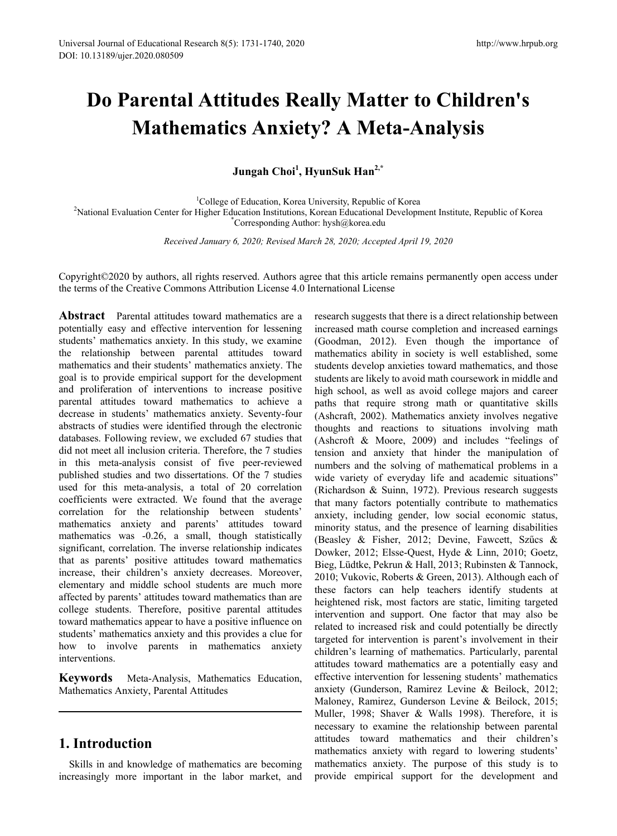# **Do Parental Attitudes Really Matter to Children's Mathematics Anxiety? A Meta-Analysis**

**Jungah Choi1 , HyunSuk Han2,\***

<sup>1</sup>College of Education, Korea University, Republic of Korea College of Education, Korea University, Republic of Korea<sup>2</sup><br>College of Education, Korean Educational Developm<sup>2</sup>National Pevelopm<sup>2</sup> National Evaluation Center for Higher Education Institutions, Korean Educational Development Institute, Republic of Korea<br>Corresponding Author: hysh@korea edu Corresponding Author: hysh@korea.edu

*Received January 6, 2020; Revised March 28, 2020; Accepted April 19, 2020*

Copyright©2020 by authors, all rights reserved. Authors agree that this article remains permanently open access under the terms of the Creative Commons Attribution License 4.0 International License

**Abstract** Parental attitudes toward mathematics are a potentially easy and effective intervention for lessening students' mathematics anxiety. In this study, we examine the relationship between parental attitudes toward mathematics and their students' mathematics anxiety. The goal is to provide empirical support for the development and proliferation of interventions to increase positive parental attitudes toward mathematics to achieve a decrease in students' mathematics anxiety. Seventy-four abstracts of studies were identified through the electronic databases. Following review, we excluded 67 studies that did not meet all inclusion criteria. Therefore, the 7 studies in this meta-analysis consist of five peer-reviewed published studies and two dissertations. Of the 7 studies used for this meta-analysis, a total of 20 correlation coefficients were extracted. We found that the average correlation for the relationship between students' mathematics anxiety and parents' attitudes toward mathematics was -0.26, a small, though statistically significant, correlation. The inverse relationship indicates that as parents' positive attitudes toward mathematics increase, their children's anxiety decreases. Moreover, elementary and middle school students are much more affected by parents' attitudes toward mathematics than are college students. Therefore, positive parental attitudes toward mathematics appear to have a positive influence on students' mathematics anxiety and this provides a clue for how to involve parents in mathematics anxiety interventions.

**Keywords** Meta-Analysis, Mathematics Education, Mathematics Anxiety, Parental Attitudes

# **1. Introduction**

Skills in and knowledge of mathematics are becoming increasingly more important in the labor market, and research suggests that there is a direct relationship between increased math course completion and increased earnings (Goodman, 2012). Even though the importance of mathematics ability in society is well established, some students develop anxieties toward mathematics, and those students are likely to avoid math coursework in middle and high school, as well as avoid college majors and career paths that require strong math or quantitative skills (Ashcraft, 2002). Mathematics anxiety involves negative thoughts and reactions to situations involving math (Ashcroft & Moore, 2009) and includes "feelings of tension and anxiety that hinder the manipulation of numbers and the solving of mathematical problems in a wide variety of everyday life and academic situations" (Richardson & Suinn, 1972). Previous research suggests that many factors potentially contribute to mathematics anxiety, including gender, low social economic status, minority status, and the presence of learning disabilities (Beasley & Fisher, 2012; Devine, Fawcett, Szűcs & Dowker, 2012; Elsse-Quest, Hyde & Linn, 2010; Goetz, Bieg, Lüdtke, Pekrun & Hall, 2013; Rubinsten & Tannock, 2010; Vukovic, Roberts & Green, 2013). Although each of these factors can help teachers identify students at heightened risk, most factors are static, limiting targeted intervention and support. One factor that may also be related to increased risk and could potentially be directly targeted for intervention is parent's involvement in their children's learning of mathematics. Particularly, parental attitudes toward mathematics are a potentially easy and effective intervention for lessening students' mathematics anxiety (Gunderson, Ramirez Levine & Beilock, 2012; Maloney, Ramirez, Gunderson Levine & Beilock, 2015; Muller, 1998; Shaver & Walls 1998). Therefore, it is necessary to examine the relationship between parental attitudes toward mathematics and their children's mathematics anxiety with regard to lowering students' mathematics anxiety. The purpose of this study is to provide empirical support for the development and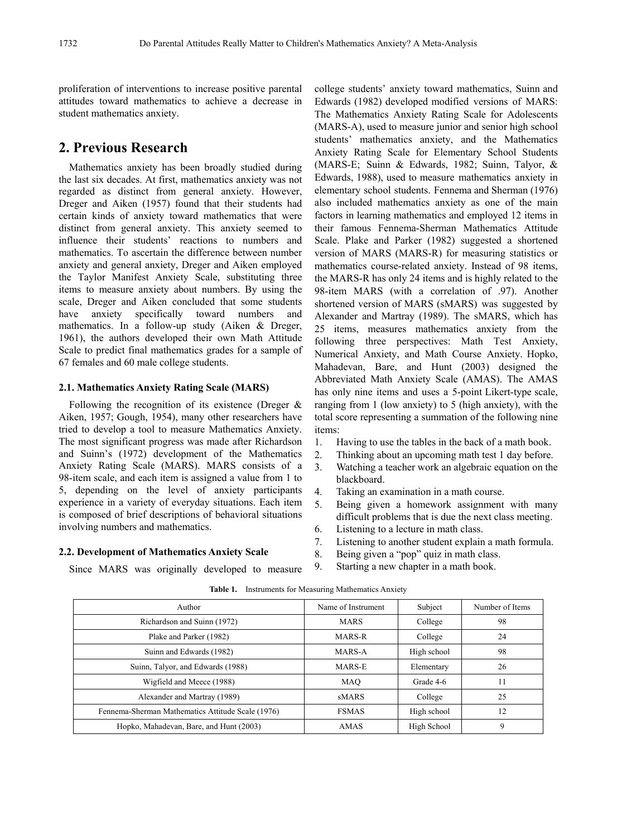proliferation of interventions to increase positive parental attitudes toward mathematics to achieve a decrease in student mathematics anxiety.

# **2. Previous Research**

Mathematics anxiety has been broadly studied during the last six decades. At first, mathematics anxiety was not regarded as distinct from general anxiety. However, Dreger and Aiken (1957) found that their students had certain kinds of anxiety toward mathematics that were distinct from general anxiety. This anxiety seemed to influence their students' reactions to numbers and mathematics. To ascertain the difference between number anxiety and general anxiety, Dreger and Aiken employed the Taylor Manifest Anxiety Scale, substituting three items to measure anxiety about numbers. By using the scale, Dreger and Aiken concluded that some students have anxiety specifically toward numbers and mathematics. In a follow-up study (Aiken & Dreger, 1961), the authors developed their own Math Attitude Scale to predict final mathematics grades for a sample of 67 females and 60 male college students.

## **2.1. Mathematics Anxiety Rating Scale (MARS)**

Following the recognition of its existence (Dreger  $\&$ Aiken, 1957; Gough, 1954), many other researchers have tried to develop a tool to measure Mathematics Anxiety. The most significant progress was made after Richardson and Suinn's (1972) development of the Mathematics Anxiety Rating Scale (MARS). MARS consists of a 98-item scale, and each item is assigned a value from 1 to 5, depending on the level of anxiety participants experience in a variety of everyday situations. Each item is composed of brief descriptions of behavioral situations involving numbers and mathematics.

Since MARS was originally developed to measure

#### **2.2. Development of Mathematics Anxiety Scale**

college students' anxiety toward mathematics, Suinn and Edwards (1982) developed modified versions of MARS: The Mathematics Anxiety Rating Scale for Adolescents (MARS-A), used to measure junior and senior high school students' mathematics anxiety, and the Mathematics Anxiety Rating Scale for Elementary School Students (MARS-E; Suinn & Edwards, 1982; Suinn, Talyor, & Edwards, 1988), used to measure mathematics anxiety in elementary school students. Fennema and Sherman (1976) also included mathematics anxiety as one of the main factors in learning mathematics and employed 12 items in their famous Fennema-Sherman Mathematics Attitude Scale. Plake and Parker (1982) suggested a shortened version of MARS (MARS-R) for measuring statistics or mathematics course-related anxiety. Instead of 98 items, the MARS-R has only 24 items and is highly related to the 98-item MARS (with a correlation of .97). Another shortened version of MARS (sMARS) was suggested by Alexander and Martray (1989). The sMARS, which has 25 items, measures mathematics anxiety from the following three perspectives: Math Test Anxiety, Numerical Anxiety, and Math Course Anxiety. Hopko, Mahadevan, Bare, and Hunt (2003) designed the Abbreviated Math Anxiety Scale (AMAS). The AMAS has only nine items and uses a 5-point Likert-type scale, ranging from 1 (low anxiety) to 5 (high anxiety), with the total score representing a summation of the following nine items:

- 1. Having to use the tables in the back of a math book.
- 2. Thinking about an upcoming math test 1 day before.
- 3. Watching a teacher work an algebraic equation on the blackboard.
- 4. Taking an examination in a math course.
- 5. Being given a homework assignment with many difficult problems that is due the next class meeting.
- 6. Listening to a lecture in math class.
- 7. Listening to another student explain a math formula.
- 8. Being given a "pop" quiz in math class.
	- 9. Starting a new chapter in a math book.

| Author                                            | Name of Instrument | Subject     | Number of Items |
|---------------------------------------------------|--------------------|-------------|-----------------|
| Richardson and Suinn (1972)                       | <b>MARS</b>        | College     | 98              |
| Plake and Parker (1982)                           | MARS-R             | College     | 24              |
| Suinn and Edwards (1982)                          | MARS-A             | High school | 98              |
| Suinn, Talyor, and Edwards (1988)                 | MARS-E             | Elementary  | 26              |
| Wigfield and Meece (1988)                         | MAO                | Grade 4-6   | 11              |
| Alexander and Martray (1989)                      | sMARS              | College     | 25              |
| Fennema-Sherman Mathematics Attitude Scale (1976) | <b>FSMAS</b>       | High school | 12              |
| Hopko, Mahadevan, Bare, and Hunt (2003)           | AMAS               | High School | 9               |

#### **Table 1.** Instruments for Measuring Mathematics Anxiety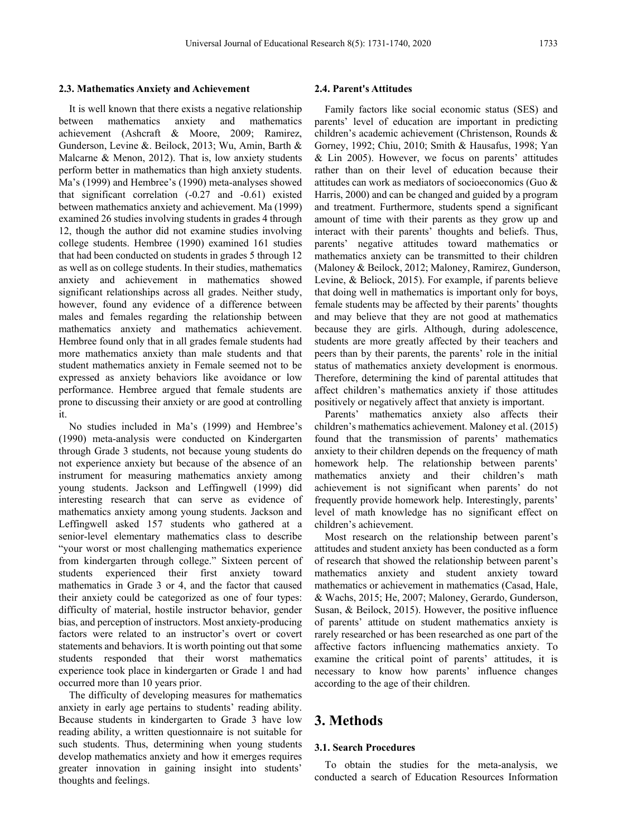#### **2.3. Mathematics Anxiety and Achievement**

It is well known that there exists a negative relationship between mathematics anxiety and mathematics achievement (Ashcraft & Moore, 2009; Ramirez, Gunderson, Levine &. Beilock, 2013; Wu, Amin, Barth & Malcarne & Menon, 2012). That is, low anxiety students perform better in mathematics than high anxiety students. Ma's (1999) and Hembree's (1990) meta-analyses showed that significant correlation (-0.27 and -0.61) existed between mathematics anxiety and achievement. Ma (1999) examined 26 studies involving students in grades 4 through 12, though the author did not examine studies involving college students. Hembree (1990) examined 161 studies that had been conducted on students in grades 5 through 12 as well as on college students. In their studies, mathematics anxiety and achievement in mathematics showed significant relationships across all grades. Neither study, however, found any evidence of a difference between males and females regarding the relationship between mathematics anxiety and mathematics achievement. Hembree found only that in all grades female students had more mathematics anxiety than male students and that student mathematics anxiety in Female seemed not to be expressed as anxiety behaviors like avoidance or low performance. Hembree argued that female students are prone to discussing their anxiety or are good at controlling it.

No studies included in Ma's (1999) and Hembree's (1990) meta-analysis were conducted on Kindergarten through Grade 3 students, not because young students do not experience anxiety but because of the absence of an instrument for measuring mathematics anxiety among young students. Jackson and Leffingwell (1999) did interesting research that can serve as evidence of mathematics anxiety among young students. Jackson and Leffingwell asked 157 students who gathered at a senior-level elementary mathematics class to describe "your worst or most challenging mathematics experience from kindergarten through college." Sixteen percent of students experienced their first anxiety toward mathematics in Grade 3 or 4, and the factor that caused their anxiety could be categorized as one of four types: difficulty of material, hostile instructor behavior, gender bias, and perception of instructors. Most anxiety-producing factors were related to an instructor's overt or covert statements and behaviors. It is worth pointing out that some students responded that their worst mathematics experience took place in kindergarten or Grade 1 and had occurred more than 10 years prior.

The difficulty of developing measures for mathematics anxiety in early age pertains to students' reading ability. Because students in kindergarten to Grade 3 have low reading ability, a written questionnaire is not suitable for such students. Thus, determining when young students develop mathematics anxiety and how it emerges requires greater innovation in gaining insight into students' thoughts and feelings.

#### **2.4. Parent's Attitudes**

Family factors like social economic status (SES) and parents' level of education are important in predicting children's academic achievement (Christenson, Rounds & Gorney, 1992; Chiu, 2010; Smith & Hausafus, 1998; Yan & Lin 2005). However, we focus on parents' attitudes rather than on their level of education because their attitudes can work as mediators of socioeconomics (Guo & Harris, 2000) and can be changed and guided by a program and treatment. Furthermore, students spend a significant amount of time with their parents as they grow up and interact with their parents' thoughts and beliefs. Thus, parents' negative attitudes toward mathematics or mathematics anxiety can be transmitted to their children (Maloney & Beilock, 2012; Maloney, Ramirez, Gunderson, Levine, & Beliock, 2015). For example, if parents believe that doing well in mathematics is important only for boys, female students may be affected by their parents' thoughts and may believe that they are not good at mathematics because they are girls. Although, during adolescence, students are more greatly affected by their teachers and peers than by their parents, the parents' role in the initial status of mathematics anxiety development is enormous. Therefore, determining the kind of parental attitudes that affect children's mathematics anxiety if those attitudes positively or negatively affect that anxiety is important.

Parents' mathematics anxiety also affects their children's mathematics achievement. Maloney et al. (2015) found that the transmission of parents' mathematics anxiety to their children depends on the frequency of math homework help. The relationship between parents' mathematics anxiety and their children's math achievement is not significant when parents' do not frequently provide homework help. Interestingly, parents' level of math knowledge has no significant effect on children's achievement.

Most research on the relationship between parent's attitudes and student anxiety has been conducted as a form of research that showed the relationship between parent's mathematics anxiety and student anxiety toward mathematics or achievement in mathematics (Casad, Hale, & Wachs, 2015; He, 2007; Maloney, Gerardo, Gunderson, Susan, & Beilock, 2015). However, the positive influence of parents' attitude on student mathematics anxiety is rarely researched or has been researched as one part of the affective factors influencing mathematics anxiety. To examine the critical point of parents' attitudes, it is necessary to know how parents' influence changes according to the age of their children.

# **3. Methods**

#### **3.1. Search Procedures**

To obtain the studies for the meta-analysis, we conducted a search of Education Resources Information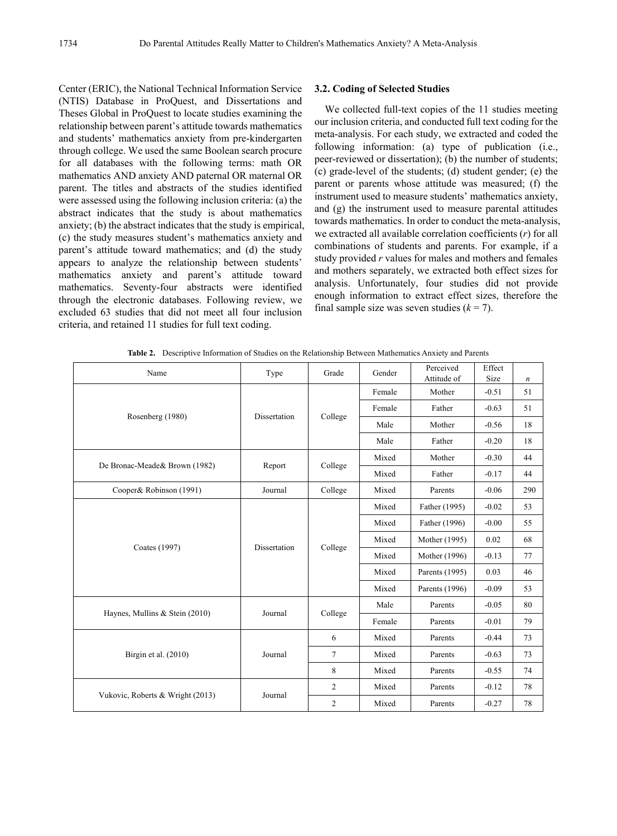Center (ERIC), the National Technical Information Service (NTIS) Database in ProQuest, and Dissertations and Theses Global in ProQuest to locate studies examining the relationship between parent's attitude towards mathematics and students' mathematics anxiety from pre-kindergarten through college. We used the same Boolean search procure for all databases with the following terms: math OR mathematics AND anxiety AND paternal OR maternal OR parent. The titles and abstracts of the studies identified were assessed using the following inclusion criteria: (a) the abstract indicates that the study is about mathematics anxiety; (b) the abstract indicates that the study is empirical, (c) the study measures student's mathematics anxiety and parent's attitude toward mathematics; and (d) the study appears to analyze the relationship between students' mathematics anxiety and parent's attitude toward mathematics. Seventy-four abstracts were identified through the electronic databases. Following review, we excluded 63 studies that did not meet all four inclusion criteria, and retained 11 studies for full text coding.

## **3.2. Coding of Selected Studies**

We collected full-text copies of the 11 studies meeting our inclusion criteria, and conducted full text coding for the meta-analysis. For each study, we extracted and coded the following information: (a) type of publication (i.e., peer-reviewed or dissertation); (b) the number of students; (c) grade-level of the students; (d) student gender; (e) the parent or parents whose attitude was measured; (f) the instrument used to measure students' mathematics anxiety, and (g) the instrument used to measure parental attitudes towards mathematics. In order to conduct the meta-analysis, we extracted all available correlation coefficients (*r*) for all combinations of students and parents. For example, if a study provided *r* values for males and mothers and females and mothers separately, we extracted both effect sizes for analysis. Unfortunately, four studies did not provide enough information to extract effect sizes, therefore the final sample size was seven studies  $(k = 7)$ .

**Table 2.** Descriptive Information of Studies on the Relationship Between Mathematics Anxiety and Parents

| Name                             | Type         | Grade                     | Gender           | Perceived<br>Attitude of | Effect<br>Size | $\boldsymbol{n}$ |
|----------------------------------|--------------|---------------------------|------------------|--------------------------|----------------|------------------|
| Rosenberg (1980)                 | Dissertation | College                   | Female           | Mother                   | $-0.51$        | 51               |
|                                  |              |                           | Female           | Father                   | $-0.63$        | 51               |
|                                  |              |                           | Male             | Mother                   | $-0.56$        | 18               |
|                                  |              |                           | Male             | Father                   | $-0.20$        | 18               |
|                                  |              | Mixed<br>College<br>Mixed |                  | Mother                   | $-0.30$        | 44               |
| De Bronac-Meade& Brown (1982)    | Report       |                           |                  | Father                   | $-0.17$        | 44               |
| Cooper& Robinson (1991)          | Journal      | College                   | Mixed            | Parents                  | $-0.06$        | 290              |
| Coates (1997)                    | Dissertation | College                   | Mixed            | Father (1995)            | $-0.02$        | 53               |
|                                  |              |                           | Mixed            | Father (1996)            | $-0.00$        | 55               |
|                                  |              |                           | Mixed            | Mother (1995)            | 0.02           | 68               |
|                                  |              |                           | Mixed            | Mother (1996)            | $-0.13$        | 77               |
|                                  |              |                           | Mixed            | Parents (1995)           | 0.03           | 46               |
|                                  |              |                           | Mixed            | Parents (1996)           | $-0.09$        | 53               |
| Haynes, Mullins & Stein (2010)   | Journal      | College                   | Male             | Parents                  | $-0.05$        | 80               |
|                                  |              |                           | Female           | Parents                  | $-0.01$        | 79               |
| Birgin et al. (2010)             | Journal      | 6                         | Mixed            | Parents                  | $-0.44$        | 73               |
|                                  |              | $\overline{7}$            | Mixed            | Parents                  | $-0.63$        | 73               |
|                                  |              | 8                         | Mixed            | Parents                  | $-0.55$        | 74               |
|                                  |              | $\overline{2}$            | Mixed            | Parents                  | $-0.12$        | 78               |
| Vukovic, Roberts & Wright (2013) | Journal      | 2                         | Mixed<br>Parents | $-0.27$                  | 78             |                  |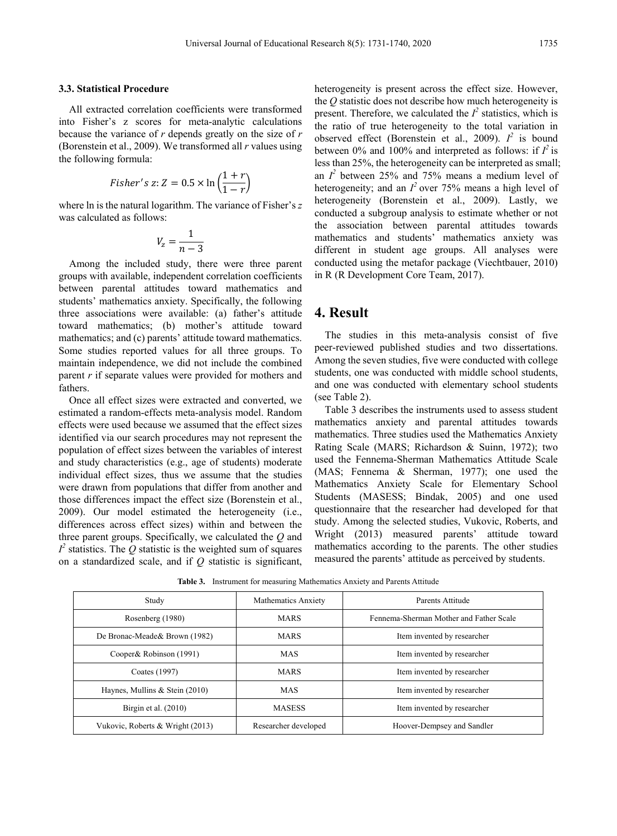#### **3.3. Statistical Procedure**

All extracted correlation coefficients were transformed into Fisher's z scores for meta-analytic calculations because the variance of *r* depends greatly on the size of *r*  (Borenstein et al., 2009). We transformed all *r* values using the following formula:

$$
Fisher's z: Z = 0.5 \times \ln\left(\frac{1+r}{1-r}\right)
$$

where ln is the natural logarithm. The variance of Fisher's *z*  was calculated as follows:

$$
V_z=\frac{1}{n-3}
$$

Among the included study, there were three parent groups with available, independent correlation coefficients between parental attitudes toward mathematics and students' mathematics anxiety. Specifically, the following three associations were available: (a) father's attitude toward mathematics; (b) mother's attitude toward mathematics; and (c) parents' attitude toward mathematics. Some studies reported values for all three groups. To maintain independence, we did not include the combined parent *r* if separate values were provided for mothers and fathers.

Once all effect sizes were extracted and converted, we estimated a random-effects meta-analysis model. Random effects were used because we assumed that the effect sizes identified via our search procedures may not represent the population of effect sizes between the variables of interest and study characteristics (e.g., age of students) moderate individual effect sizes, thus we assume that the studies were drawn from populations that differ from another and those differences impact the effect size (Borenstein et al., 2009). Our model estimated the heterogeneity (i.e., differences across effect sizes) within and between the three parent groups. Specifically, we calculated the *Q* and  $I^2$  statistics. The  $Q$  statistic is the weighted sum of squares on a standardized scale, and if *Q* statistic is significant,

heterogeneity is present across the effect size. However, the *Q* statistic does not describe how much heterogeneity is present. Therefore, we calculated the  $I^2$  statistics, which is the ratio of true heterogeneity to the total variation in observed effect (Borenstein et al., 2009).  $I^2$  is bound between 0% and 100% and interpreted as follows: if  $I^2$  is less than 25%, the heterogeneity can be interpreted as small; an  $I^2$  between 25% and 75% means a medium level of heterogeneity; and an  $I^2$  over 75% means a high level of heterogeneity (Borenstein et al., 2009). Lastly, we conducted a subgroup analysis to estimate whether or not the association between parental attitudes towards mathematics and students' mathematics anxiety was different in student age groups. All analyses were conducted using the metafor package (Viechtbauer, 2010) in R (R Development Core Team, 2017).

## **4. Result**

The studies in this meta-analysis consist of five peer-reviewed published studies and two dissertations. Among the seven studies, five were conducted with college students, one was conducted with middle school students, and one was conducted with elementary school students (see Table 2).

Table 3 describes the instruments used to assess student mathematics anxiety and parental attitudes towards mathematics. Three studies used the Mathematics Anxiety Rating Scale (MARS; Richardson & Suinn, 1972); two used the Fennema-Sherman Mathematics Attitude Scale (MAS; Fennema & Sherman, 1977); one used the Mathematics Anxiety Scale for Elementary School Students (MASESS; Bindak, 2005) and one used questionnaire that the researcher had developed for that study. Among the selected studies, Vukovic, Roberts, and Wright (2013) measured parents' attitude toward mathematics according to the parents. The other studies measured the parents' attitude as perceived by students.

**Table 3.** Instrument for measuring Mathematics Anxiety and Parents Attitude

| Study                            | <b>Mathematics Anxiety</b> | Parents Attitude                        |  |
|----------------------------------|----------------------------|-----------------------------------------|--|
| Rosenberg (1980)                 | <b>MARS</b>                | Fennema-Sherman Mother and Father Scale |  |
| De Bronac-Meade & Brown (1982)   | <b>MARS</b>                | Item invented by researcher             |  |
| Cooper& Robinson (1991)          | <b>MAS</b>                 | Item invented by researcher             |  |
| Coates (1997)                    | <b>MARS</b>                | Item invented by researcher             |  |
| Haynes, Mullins & Stein (2010)   | <b>MAS</b>                 | Item invented by researcher             |  |
| Birgin et al. $(2010)$           | <b>MASESS</b>              | Item invented by researcher             |  |
| Vukovic, Roberts & Wright (2013) | Researcher developed       | Hoover-Dempsey and Sandler              |  |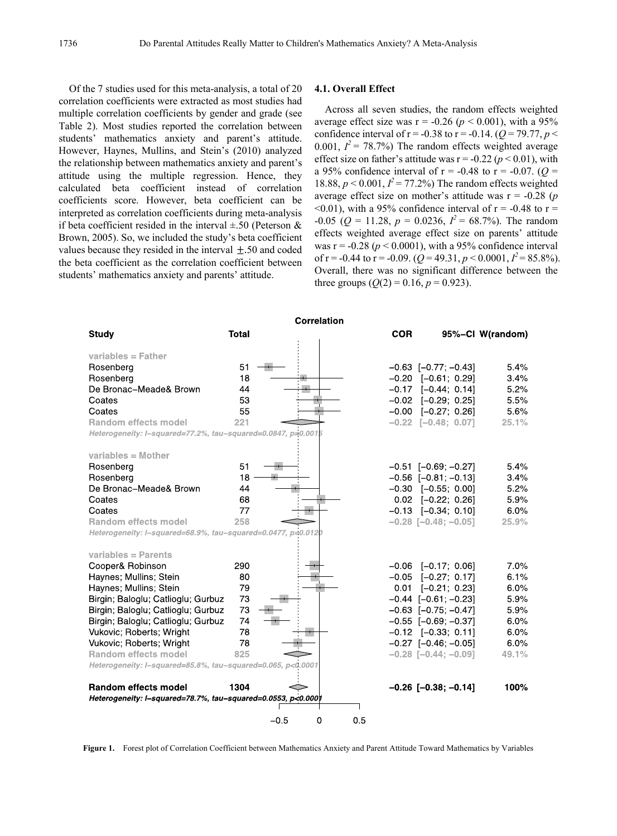Of the 7 studies used for this meta-analysis, a total of 20 correlation coefficients were extracted as most studies had multiple correlation coefficients by gender and grade (see Table 2). Most studies reported the correlation between students' mathematics anxiety and parent's attitude. However, Haynes, Mullins, and Stein's (2010) analyzed the relationship between mathematics anxiety and parent's attitude using the multiple regression. Hence, they calculated beta coefficient instead of correlation coefficients score. However, beta coefficient can be interpreted as correlation coefficients during meta-analysis if beta coefficient resided in the interval  $\pm 0.50$  (Peterson & Brown, 2005). So, we included the study's beta coefficient values because they resided in the interval  $\pm$  50 and coded the beta coefficient as the correlation coefficient between students' mathematics anxiety and parents' attitude.

#### **4.1. Overall Effect**

Across all seven studies, the random effects weighted average effect size was  $r = -0.26$  ( $p < 0.001$ ), with a 95% confidence interval of  $r = -0.38$  to  $r = -0.14$ . ( $Q = 79.77$ ,  $p <$ 0.001,  $I^2 = 78.7\%$ ) The random effects weighted average effect size on father's attitude was  $r = -0.22$  ( $p < 0.01$ ), with a 95% confidence interval of  $r = -0.48$  to  $r = -0.07$ . ( $Q =$ 18.88,  $p < 0.001$ ,  $I^2 = 77.2\%$ ) The random effects weighted average effect size on mother's attitude was r = -0.28 (*p*   $\leq 0.01$ ), with a 95% confidence interval of r = -0.48 to r =  $-0.05$  ( $Q = 11.28$ ,  $p = 0.0236$ ,  $I^2 = 68.7\%$ ). The random effects weighted average effect size on parents' attitude was  $r = -0.28$  ( $p < 0.0001$ ), with a 95% confidence interval of  $r = -0.44$  to  $r = -0.09$ . ( $Q = 49.31$ ,  $p < 0.0001$ ,  $I^2 = 85.8\%$ ). Overall, there was no significant difference between the three groups  $(Q(2) = 0.16, p = 0.923)$ .

| <b>Correlation</b>                                           |              |          |            |                               |                  |  |
|--------------------------------------------------------------|--------------|----------|------------|-------------------------------|------------------|--|
| <b>Study</b>                                                 | <b>Total</b> |          | <b>COR</b> |                               | 95%-Cl W(random) |  |
|                                                              |              |          |            |                               |                  |  |
| variables $=$ Father                                         |              |          |            |                               |                  |  |
| Rosenberg                                                    | 51           |          |            | $-0.63$ [ $-0.77$ ; $-0.43$ ] | 5.4%             |  |
| Rosenberg                                                    | 18           |          |            | $-0.20$ $[-0.61; 0.29]$       | 3.4%             |  |
| De Bronac-Meade& Brown                                       | 44           |          |            | $-0.17$ $[-0.44; 0.14]$       | 5.2%             |  |
| Coates                                                       | 53           |          |            |                               |                  |  |
|                                                              |              |          |            | $-0.02$ $[-0.29; 0.25]$       | 5.5%             |  |
| Coates                                                       | 55           |          |            | $-0.00$ $[-0.27; 0.26]$       | 5.6%             |  |
| <b>Random effects model</b>                                  | 221          |          |            | $-0.22$ [-0.48; 0.07]         | 25.1%            |  |
| Heterogeneity: I-squared=77.2%, tau-squared=0.0847, p=0.0015 |              |          |            |                               |                  |  |
|                                                              |              |          |            |                               |                  |  |
| variables = $Mother$                                         |              |          |            |                               |                  |  |
| Rosenberg                                                    | 51           |          |            | $-0.51$ [-0.69; -0.27]        | 5.4%             |  |
| Rosenberg                                                    | 18           |          |            | $-0.56$ $[-0.81; -0.13]$      | 3.4%             |  |
| De Bronac-Meade& Brown                                       | 44           |          |            | $-0.30$ $[-0.55; 0.00]$       | 5.2%             |  |
| Coates                                                       | 68           |          |            | $0.02$ [-0.22; 0.26]          | 5.9%             |  |
| Coates                                                       | 77           |          |            | $-0.13$ $[-0.34; 0.10]$       | 6.0%             |  |
| <b>Random effects model</b>                                  | 258          |          |            | $-0.28$ [ $-0.48$ ; $-0.05$ ] | 25.9%            |  |
| Heterogeneity: I-squared=68.9%, tau-squared=0.0477, p=0.0120 |              |          |            |                               |                  |  |
|                                                              |              |          |            |                               |                  |  |
| variables $=$ Parents                                        |              |          |            |                               |                  |  |
|                                                              |              |          |            |                               |                  |  |
| Cooper& Robinson                                             | 290          |          |            | $-0.06$ $[-0.17; 0.06]$       | 7.0%             |  |
| Haynes; Mullins; Stein                                       | 80           |          | $-0.05$    | $[-0.27; 0.17]$               | 6.1%             |  |
| Haynes; Mullins; Stein                                       | 79           |          | 0.01       | $[-0.21; 0.23]$               | 6.0%             |  |
| Birgin; Baloglu; Catlioglu; Gurbuz                           | 73           |          |            | $-0.44$ $[-0.61; -0.23]$      | 5.9%             |  |
| Birgin; Baloglu; Catlioglu; Gurbuz                           | 73           |          |            | $-0.63$ [ $-0.75$ ; $-0.47$ ] | 5.9%             |  |
| Birgin; Baloglu; Catlioglu; Gurbuz                           | 74           |          |            | $-0.55$ [ $-0.69$ ; $-0.37$ ] | 6.0%             |  |
| Vukovic; Roberts; Wright                                     | 78           |          |            | $-0.12$ $[-0.33; 0.11]$       | 6.0%             |  |
| Vukovic; Roberts; Wright                                     | 78           |          |            | $-0.27$ [ $-0.46$ ; $-0.05$ ] | 6.0%             |  |
| <b>Random effects model</b>                                  | 825          |          |            | $-0.28$ [ $-0.44$ ; $-0.09$ ] | 49.1%            |  |
| Heterogeneity: I-squared=85.8%, tau-squared=0.065, p<0.0001  |              |          |            |                               |                  |  |
|                                                              |              |          |            |                               |                  |  |
| <b>Random effects model</b>                                  | 1304         |          |            | $-0.26$ [ $-0.38$ ; $-0.14$ ] | 100%             |  |
|                                                              |              |          |            |                               |                  |  |
| Heterogeneity: I-squared=78.7%, tau-squared=0.0553, p<0.000  |              |          |            |                               |                  |  |
|                                                              |              | $-0.5$   |            |                               |                  |  |
|                                                              |              | 0<br>0.5 |            |                               |                  |  |

**Figure 1.** Forest plot of Correlation Coefficient between Mathematics Anxiety and Parent Attitude Toward Mathematics by Variables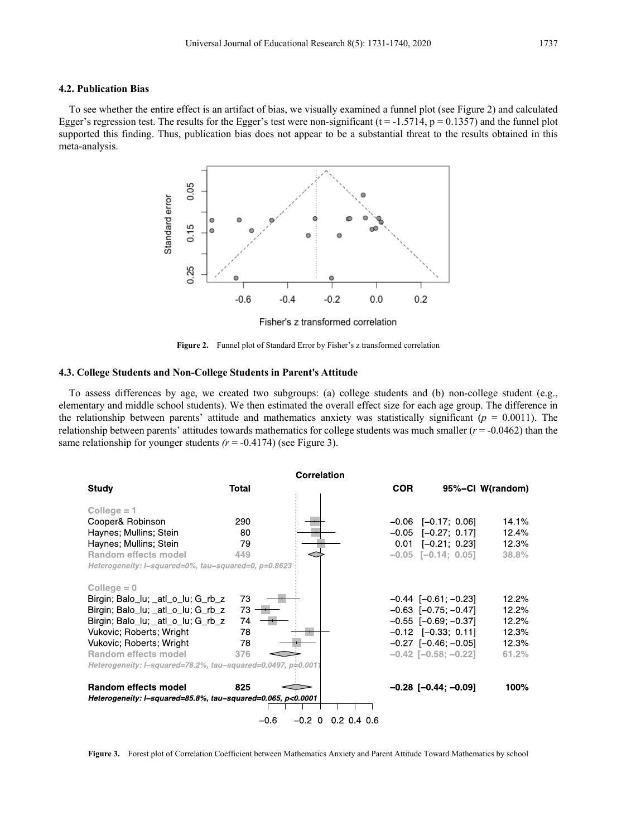#### **4.2. Publication Bias**

To see whether the entire effect is an artifact of bias, we visually examined a funnel plot (see Figure 2) and calculated Egger's regression test. The results for the Egger's test were non-significant  $(t = -1.5714, p = 0.1357)$  and the funnel plot supported this finding. Thus, publication bias does not appear to be a substantial threat to the results obtained in this meta-analysis.



**Figure 2.** Funnel plot of Standard Error by Fisher's z transformed correlation

#### **4.3. College Students and Non-College Students in Parent's Attitude**

To assess differences by age, we created two subgroups: (a) college students and (b) non-college student (e.g., elementary and middle school students). We then estimated the overall effect size for each age group. The difference in the relationship between parents' attitude and mathematics anxiety was statistically significant ( $p = 0.0011$ ). The relationship between parents' attitudes towards mathematics for college students was much smaller (*r* = -0.0462) than the same relationship for younger students  $(r = -0.4174)$  (see Figure 3).



**Figure 3.** Forest plot of Correlation Coefficient between Mathematics Anxiety and Parent Attitude Toward Mathematics by school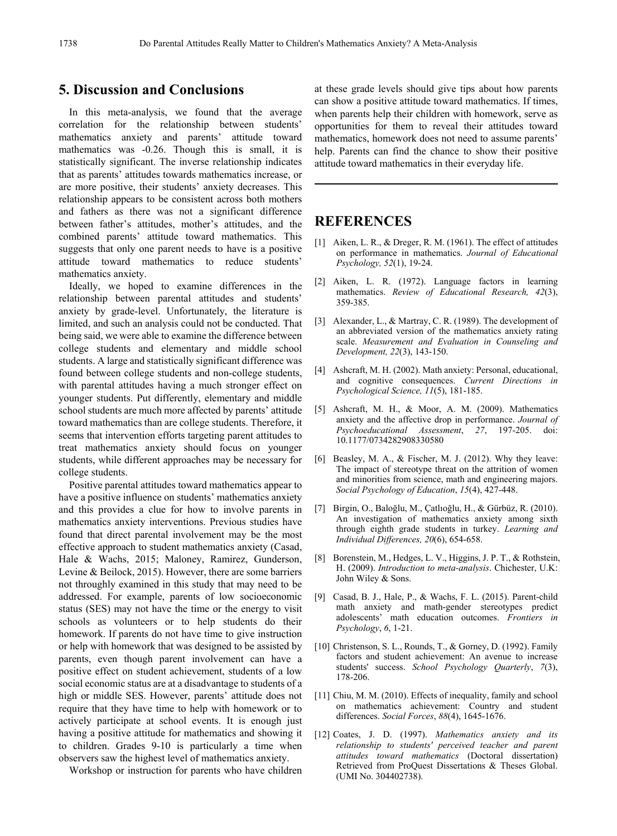## **5. Discussion and Conclusions**

In this meta-analysis, we found that the average correlation for the relationship between students' mathematics anxiety and parents' attitude toward mathematics was -0.26. Though this is small, it is statistically significant. The inverse relationship indicates that as parents' attitudes towards mathematics increase, or are more positive, their students' anxiety decreases. This relationship appears to be consistent across both mothers and fathers as there was not a significant difference between father's attitudes, mother's attitudes, and the combined parents' attitude toward mathematics. This suggests that only one parent needs to have is a positive attitude toward mathematics to reduce students' mathematics anxiety.

Ideally, we hoped to examine differences in the relationship between parental attitudes and students' anxiety by grade-level. Unfortunately, the literature is limited, and such an analysis could not be conducted. That being said, we were able to examine the difference between college students and elementary and middle school students. A large and statistically significant difference was found between college students and non-college students, with parental attitudes having a much stronger effect on younger students. Put differently, elementary and middle school students are much more affected by parents' attitude toward mathematics than are college students. Therefore, it seems that intervention efforts targeting parent attitudes to treat mathematics anxiety should focus on younger students, while different approaches may be necessary for college students.

Positive parental attitudes toward mathematics appear to have a positive influence on students' mathematics anxiety and this provides a clue for how to involve parents in mathematics anxiety interventions. Previous studies have found that direct parental involvement may be the most effective approach to student mathematics anxiety (Casad, Hale & Wachs, 2015; Maloney, Ramirez, Gunderson, Levine & Beilock, 2015). However, there are some barriers not throughly examined in this study that may need to be addressed. For example, parents of low socioeconomic status (SES) may not have the time or the energy to visit schools as volunteers or to help students do their homework. If parents do not have time to give instruction or help with homework that was designed to be assisted by parents, even though parent involvement can have a positive effect on student achievement, students of a low social economic status are at a disadvantage to students of a high or middle SES. However, parents' attitude does not require that they have time to help with homework or to actively participate at school events. It is enough just having a positive attitude for mathematics and showing it to children. Grades 9-10 is particularly a time when observers saw the highest level of mathematics anxiety.

Workshop or instruction for parents who have children

at these grade levels should give tips about how parents can show a positive attitude toward mathematics. If times, when parents help their children with homework, serve as opportunities for them to reveal their attitudes toward mathematics, homework does not need to assume parents' help. Parents can find the chance to show their positive attitude toward mathematics in their everyday life.

## **REFERENCES**

- [1] Aiken, L. R., & Dreger, R. M. (1961). The effect of attitudes on performance in mathematics. *Journal of Educational Psychology, 52*(1), 19-24.
- [2] Aiken, L. R. (1972). Language factors in learning mathematics. *Review of Educational Research, 42*(3), 359-385.
- [3] Alexander, L., & Martray, C. R. (1989). The development of an abbreviated version of the mathematics anxiety rating scale. *Measurement and Evaluation in Counseling and Development, 22*(3), 143-150.
- [4] Ashcraft, M. H. (2002). Math anxiety: Personal, educational, and cognitive consequences. *Current Directions in Psychological Science, 11*(5), 181-185.
- [5] Ashcraft, M. H., & Moor, A. M. (2009). Mathematics anxiety and the affective drop in performance. *Journal of Psychoeducational Assessment*, *27*, 197-205. doi: 10.1177/0734282908330580
- [6] Beasley, M. A., & Fischer, M. J. (2012). Why they leave: The impact of stereotype threat on the attrition of women and minorities from science, math and engineering majors. *Social Psychology of Education*, *15*(4), 427-448.
- [7] Birgin, O., Baloğlu, M., Çatlıoğlu, H., & Gürbüz, R. (2010). An investigation of mathematics anxiety among sixth through eighth grade students in turkey. *Learning and Individual Differences, 20*(6), 654-658.
- [8] Borenstein, M., Hedges, L. V., Higgins, J. P. T., & Rothstein, H. (2009). *Introduction to meta-analysis*. Chichester, U.K: John Wiley & Sons.
- [9] Casad, B. J., Hale, P., & Wachs, F. L. (2015). Parent-child math anxiety and math-gender stereotypes predict adolescents' math education outcomes. *Frontiers in Psychology*, *6*, 1-21.
- [10] Christenson, S. L., Rounds, T., & Gorney, D. (1992). Family factors and student achievement: An avenue to increase students' success. *School Psychology Quarterly*, *7*(3), 178-206.
- [11] Chiu, M. M. (2010). Effects of inequality, family and school on mathematics achievement: Country and student differences. *Social Forces*, *88*(4), 1645-1676.
- [12] Coates, J. D. (1997). *Mathematics anxiety and its relationship to students' perceived teacher and parent attitudes toward mathematics* (Doctoral dissertation) Retrieved from ProQuest Dissertations & Theses Global. (UMI No. 304402738).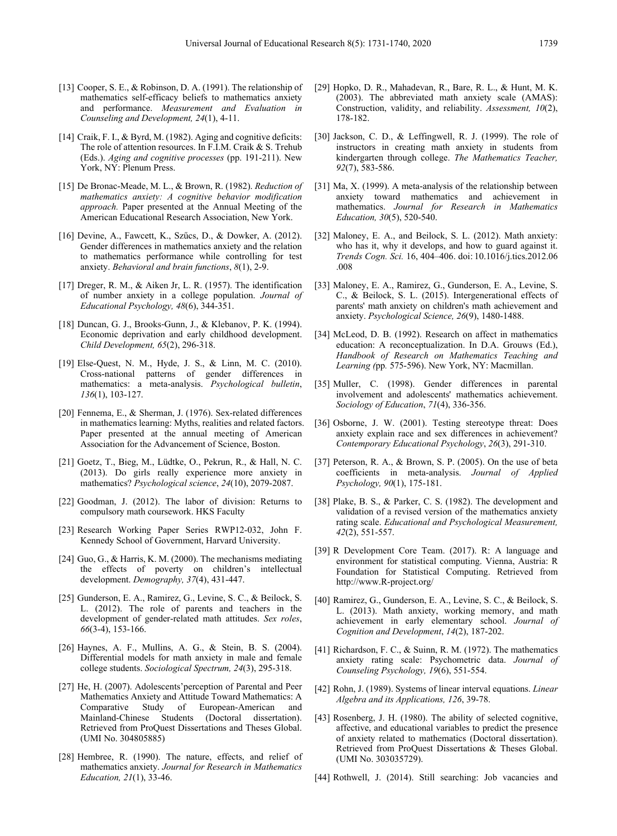- [13] Cooper, S. E., & Robinson, D. A. (1991). The relationship of mathematics self-efficacy beliefs to mathematics anxiety and performance. *Measurement and Evaluation in Counseling and Development, 24*(1), 4-11.
- [14] Craik, F. I., & Byrd, M. (1982). Aging and cognitive deficits: The role of attention resources. In F.I.M. Craik & S. Trehub (Eds.). *Aging and cognitive processes* (pp. 191-211). New York, NY: Plenum Press.
- [15] De Bronac-Meade, M. L., & Brown, R. (1982). *Reduction of mathematics anxiety: A cognitive behavior modification approach.* Paper presented at the Annual Meeting of the American Educational Research Association, New York.
- [16] Devine, A., Fawcett, K., Szűcs, D., & Dowker, A. (2012). Gender differences in mathematics anxiety and the relation to mathematics performance while controlling for test anxiety. *Behavioral and brain functions*, *8*(1), 2-9.
- [17] Dreger, R. M., & Aiken Jr, L. R. (1957). The identification of number anxiety in a college population. *Journal of Educational Psychology, 48*(6), 344-351.
- [18] Duncan, G. J., Brooks-Gunn, J., & Klebanov, P. K. (1994). Economic deprivation and early childhood development. *Child Development, 65*(2), 296-318.
- [19] Else-Quest, N. M., Hyde, J. S., & Linn, M. C. (2010). Cross-national patterns of gender differences in mathematics: a meta-analysis. *Psychological bulletin*, *136*(1), 103-127.
- [20] Fennema, E., & Sherman, J. (1976). Sex-related differences in mathematics learning: Myths, realities and related factors. Paper presented at the annual meeting of American Association for the Advancement of Science, Boston.
- [21] Goetz, T., Bieg, M., Lüdtke, O., Pekrun, R., & Hall, N. C. (2013). Do girls really experience more anxiety in mathematics? *Psychological science*, *24*(10), 2079-2087.
- [22] Goodman, J. (2012). The labor of division: Returns to compulsory math coursework. HKS Faculty
- [23] Research Working Paper Series RWP12-032, John F. Kennedy School of Government, Harvard University.
- [24] Guo, G., & Harris, K. M. (2000). The mechanisms mediating the effects of poverty on children's intellectual development. *Demography, 37*(4), 431-447.
- [25] Gunderson, E. A., Ramirez, G., Levine, S. C., & Beilock, S. L. (2012). The role of parents and teachers in the development of gender-related math attitudes. *Sex roles*, *66*(3-4), 153-166.
- [26] Haynes, A. F., Mullins, A. G., & Stein, B. S. (2004). Differential models for math anxiety in male and female college students. *Sociological Spectrum, 24*(3), 295-318.
- [27] He, H. (2007). Adolescents'perception of Parental and Peer Mathematics Anxiety and Attitude Toward Mathematics: A Comparative Study of European-American and<br>Mainland-Chinese Students (Doctoral dissertation). Mainland-Chinese Students Retrieved from ProQuest Dissertations and Theses Global. (UMI No. 304805885)
- [28] Hembree, R. (1990). The nature, effects, and relief of mathematics anxiety. *Journal for Research in Mathematics Education, 21*(1), 33-46.
- [29] Hopko, D. R., Mahadevan, R., Bare, R. L., & Hunt, M. K. (2003). The abbreviated math anxiety scale (AMAS): Construction, validity, and reliability. *Assessment, 10*(2), 178-182.
- [30] Jackson, C. D., & Leffingwell, R. J. (1999). The role of instructors in creating math anxiety in students from kindergarten through college. *The Mathematics Teacher, 92*(7), 583-586.
- [31] Ma, X. (1999). A meta-analysis of the relationship between anxiety toward mathematics and achievement in mathematics. *Journal for Research in Mathematics Education, 30*(5), 520-540.
- [32] Maloney, E. A., and Beilock, S. L. (2012). Math anxiety: who has it, why it develops, and how to guard against it. *Trends Cogn. Sci.* 16, 404–406. doi: 10.1016/j.tics.2012.06 .008
- [33] Maloney, E. A., Ramirez, G., Gunderson, E. A., Levine, S. C., & Beilock, S. L. (2015). Intergenerational effects of parents' math anxiety on children's math achievement and anxiety. *Psychological Science, 26*(9), 1480-1488.
- [34] McLeod, D. B. (1992). Research on affect in mathematics education: A reconceptualization. In D.A. Grouws (Ed.), *Handbook of Research on Mathematics Teaching and Learning (*pp*.* 575-596). New York, NY: Macmillan.
- [35] Muller, C. (1998). Gender differences in parental involvement and adolescents' mathematics achievement. *Sociology of Education*, *71*(4), 336-356.
- [36] Osborne, J. W. (2001). Testing stereotype threat: Does anxiety explain race and sex differences in achievement? *Contemporary Educational Psychology*, *26*(3), 291-310.
- [37] Peterson, R. A., & Brown, S. P. (2005). On the use of beta coefficients in meta-analysis. *Journal of Applied Psychology, 90*(1), 175-181.
- [38] Plake, B. S., & Parker, C. S. (1982). The development and validation of a revised version of the mathematics anxiety rating scale. *Educational and Psychological Measurement, 42*(2), 551-557.
- [39] R Development Core Team. (2017). R: A language and environment for statistical computing. Vienna, Austria: R Foundation for Statistical Computing. Retrieved from http://www.R-project.org/
- [40] Ramirez, G., Gunderson, E. A., Levine, S. C., & Beilock, S. L. (2013). Math anxiety, working memory, and math achievement in early elementary school. *Journal of Cognition and Development*, *14*(2), 187-202.
- [41] Richardson, F. C., & Suinn, R. M. (1972). The mathematics anxiety rating scale: Psychometric data. *Journal of Counseling Psychology, 19*(6), 551-554.
- [42] Rohn, J. (1989). Systems of linear interval equations. *Linear Algebra and its Applications, 126*, 39-78.
- [43] Rosenberg, J. H. (1980). The ability of selected cognitive, affective, and educational variables to predict the presence of anxiety related to mathematics (Doctoral dissertation). Retrieved from ProQuest Dissertations & Theses Global. (UMI No. 303035729).
- [44] Rothwell, J. (2014). Still searching: Job vacancies and